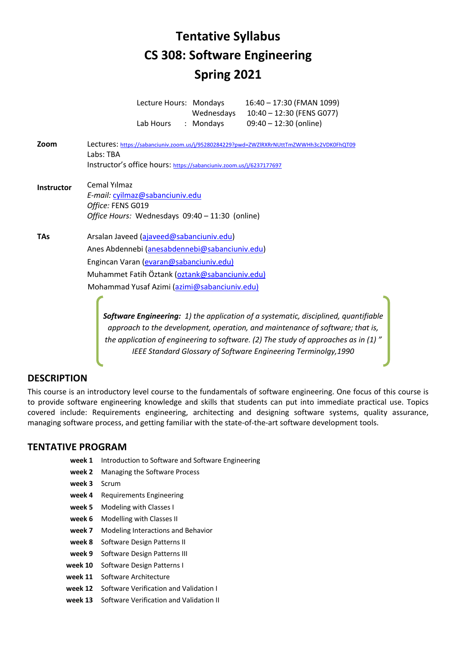# **Tentative Syllabus CS 308: Software Engineering Spring 2021**

 Lecture Hours: Mondays 16:40 – 17:30 (FMAN 1099) Wednesdays 10:40 – 12:30 (FENS G077) Lab Hours : Mondays 09:40 – 12:30 (online)

- **Zoom** Lectures: https://sabanciuniv.zoom.us/j/95280284229?pwd=ZWZlRXRrNUttTmZWWHh3c2VDK0FhQT09 Labs: TBA Instructor's office hours: https://sabanciuniv.zoom.us/j/6237177697
- **Instructor** Cemal Yılmaz *E-mail:* cyilmaz@sabanciuniv.edu *Office:* FENS G019 *Office Hours:* Wednesdays 09:40 – 11:30 (online)
- **TAs** Arsalan Javeed (ajaveed@sabanciuniv.edu) Anes Abdennebi (anesabdennebi@sabanciuniv.edu) Engincan Varan (evaran@sabanciuniv.edu) Muhammet Fatih Öztank (oztank@sabanciuniv.edu) Mohammad Yusaf Azimi (azimi@sabanciuniv.edu)

*Software Engineering: 1) the application of a systematic, disciplined, quantifiable approach to the development, operation, and maintenance of software; that is, the application of engineering to software. (2) The study of approaches as in (1) " IEEE Standard Glossary of Software Engineering Terminolgy,1990*

# **DESCRIPTION**

This course is an introductory level course to the fundamentals of software engineering. One focus of this course is to provide software engineering knowledge and skills that students can put into immediate practical use. Topics covered include: Requirements engineering, architecting and designing software systems, quality assurance, managing software process, and getting familiar with the state-of-the-art software development tools.

#### **TENTATIVE PROGRAM**

- **week 1** Introduction to Software and Software Engineering
- **week 2** Managing the Software Process
- **week 3** Scrum
- **week 4** Requirements Engineering
- **week 5** Modeling with Classes I
- **week 6** Modelling with Classes II
- **week 7** Modeling Interactions and Behavior
- **week 8** Software Design Patterns II
- **week 9** Software Design Patterns III
- **week 10** Software Design Patterns I
- **week 11** Software Architecture
- **week 12** Software Verification and Validation I
- **week 13** Software Verification and Validation II